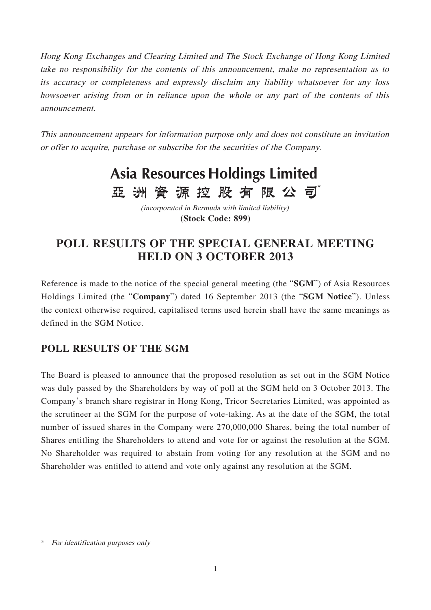Hong Kong Exchanges and Clearing Limited and The Stock Exchange of Hong Kong Limited take no responsibility for the contents of this announcement, make no representation as to its accuracy or completeness and expressly disclaim any liability whatsoever for any loss howsoever arising from or in reliance upon the whole or any part of the contents of this announcement.

This announcement appears for information purpose only and does not constitute an invitation or offer to acquire, purchase or subscribe for the securities of the Company.

## **Asia Resources Holdings Limited** 亞洲資源控股有限公司

(incorporated in Bermuda with limited liability) **(Stock Code: 899)**

## **POLL RESULTS OF THE SPECIAL GENERAL MEETING HELD ON 3 OCTOBER 2013**

Reference is made to the notice of the special general meeting (the "**SGM**") of Asia Resources Holdings Limited (the "**Company**") dated 16 September 2013 (the "**SGM Notice**"). Unless the context otherwise required, capitalised terms used herein shall have the same meanings as defined in the SGM Notice.

## **POLL RESULTS OF THE SGM**

The Board is pleased to announce that the proposed resolution as set out in the SGM Notice was duly passed by the Shareholders by way of poll at the SGM held on 3 October 2013. The Company's branch share registrar in Hong Kong, Tricor Secretaries Limited, was appointed as the scrutineer at the SGM for the purpose of vote-taking. As at the date of the SGM, the total number of issued shares in the Company were 270,000,000 Shares, being the total number of Shares entitling the Shareholders to attend and vote for or against the resolution at the SGM. No Shareholder was required to abstain from voting for any resolution at the SGM and no Shareholder was entitled to attend and vote only against any resolution at the SGM.

\* For identification purposes only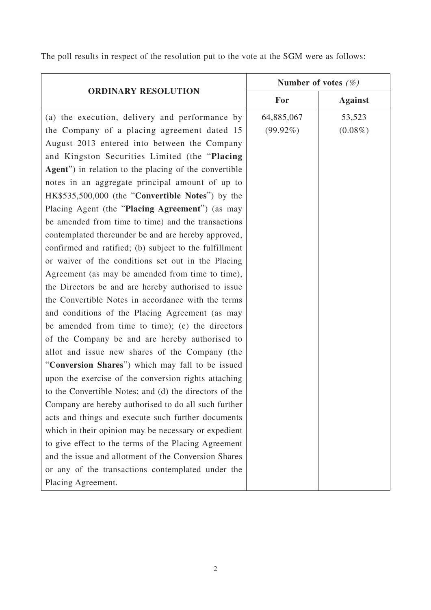The poll results in respect of the resolution put to the vote at the SGM were as follows:

| <b>ORDINARY RESOLUTION</b>                             | Number of votes $(\%)$ |                |
|--------------------------------------------------------|------------------------|----------------|
|                                                        | For                    | <b>Against</b> |
| (a) the execution, delivery and performance by         | 64,885,067             | 53,523         |
| the Company of a placing agreement dated 15            | $(99.92\%)$            | $(0.08\%)$     |
| August 2013 entered into between the Company           |                        |                |
| and Kingston Securities Limited (the "Placing          |                        |                |
| Agent") in relation to the placing of the convertible  |                        |                |
| notes in an aggregate principal amount of up to        |                        |                |
| HK\$535,500,000 (the "Convertible Notes") by the       |                        |                |
| Placing Agent (the "Placing Agreement") (as may        |                        |                |
| be amended from time to time) and the transactions     |                        |                |
| contemplated thereunder be and are hereby approved,    |                        |                |
| confirmed and ratified; (b) subject to the fulfillment |                        |                |
| or waiver of the conditions set out in the Placing     |                        |                |
| Agreement (as may be amended from time to time),       |                        |                |
| the Directors be and are hereby authorised to issue    |                        |                |
| the Convertible Notes in accordance with the terms     |                        |                |
| and conditions of the Placing Agreement (as may        |                        |                |
| be amended from time to time); (c) the directors       |                        |                |
| of the Company be and are hereby authorised to         |                        |                |
| allot and issue new shares of the Company (the         |                        |                |
| "Conversion Shares") which may fall to be issued       |                        |                |
| upon the exercise of the conversion rights attaching   |                        |                |
| to the Convertible Notes; and (d) the directors of the |                        |                |
| Company are hereby authorised to do all such further   |                        |                |
| acts and things and execute such further documents     |                        |                |
| which in their opinion may be necessary or expedient   |                        |                |
| to give effect to the terms of the Placing Agreement   |                        |                |
| and the issue and allotment of the Conversion Shares   |                        |                |
| or any of the transactions contemplated under the      |                        |                |
| Placing Agreement.                                     |                        |                |